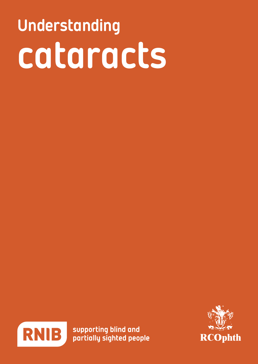# Understanding cataracts



supporting blind and partially sighted people

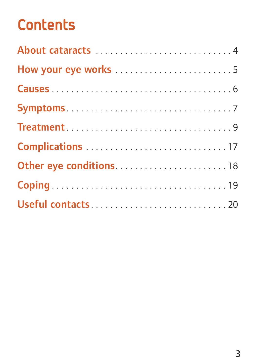### **Contents**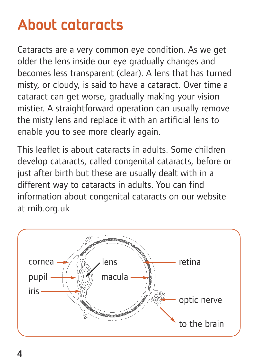### About cataracts

Cataracts are a very common eye condition. As we get older the lens inside our eye gradually changes and becomes less transparent (clear). A lens that has turned misty, or cloudy, is said to have a cataract. Over time a cataract can get worse, gradually making your vision mistier. A straightforward operation can usually remove the misty lens and replace it with an artificial lens to enable you to see more clearly again.

This leaflet is about cataracts in adults. Some children develop cataracts, called congenital cataracts, before or just after birth but these are usually dealt with in a different way to cataracts in adults. You can find information about congenital cataracts on our website at rnib.org.uk

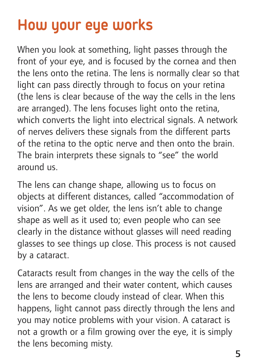### How your eye works

When you look at something, light passes through the front of your eye, and is focused by the cornea and then the lens onto the retina. The lens is normally clear so that light can pass directly through to focus on your retina (the lens is clear because of the way the cells in the lens are arranged). The lens focuses light onto the retina, which converts the light into electrical signals. A network of nerves delivers these signals from the different parts of the retina to the optic nerve and then onto the brain. The brain interprets these signals to "see" the world around us.

The lens can change shape, allowing us to focus on objects at different distances, called "accommodation of vision". As we get older, the lens isn't able to change shape as well as it used to; even people who can see clearly in the distance without glasses will need reading glasses to see things up close. This process is not caused by a cataract.

Cataracts result from changes in the way the cells of the lens are arranged and their water content, which causes the lens to become cloudy instead of clear. When this happens, light cannot pass directly through the lens and you may notice problems with your vision. A cataract is not a growth or a film growing over the eye, it is simply the lens becoming misty.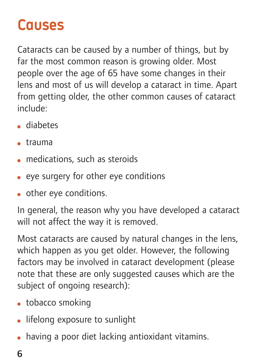### Causes

Cataracts can be caused by a number of things, but by far the most common reason is growing older. Most people over the age of 65 have some changes in their lens and most of us will develop a cataract in time. Apart from getting older, the other common causes of cataract include:

- diabetes
- $\bullet$  trauma
- medications, such as steroids
- eye surgery for other eye conditions
- other eye conditions.

In general, the reason why you have developed a cataract will not affect the way it is removed.

Most cataracts are caused by natural changes in the lens, which happen as you get older. However, the following factors may be involved in cataract development (please note that these are only suggested causes which are the subject of ongoing research):

- tobacco smoking
- lifelong exposure to sunlight
- having a poor diet lacking antioxidant vitamins.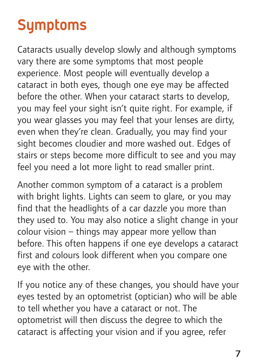### Symptoms

Cataracts usually develop slowly and although symptoms vary there are some symptoms that most people experience. Most people will eventually develop a cataract in both eyes, though one eye may be affected before the other. When your cataract starts to develop, you may feel your sight isn't quite right. For example, if you wear glasses you may feel that your lenses are dirty, even when they're clean. Gradually, you may find your sight becomes cloudier and more washed out. Edges of stairs or steps become more difficult to see and you may feel you need a lot more light to read smaller print.

Another common symptom of a cataract is a problem with bright lights. Lights can seem to glare, or you may find that the headlights of a car dazzle you more than they used to. You may also notice a slight change in your colour vision – things may appear more yellow than before. This often happens if one eye develops a cataract first and colours look different when you compare one eye with the other.

If you notice any of these changes, you should have your eyes tested by an optometrist (optician) who will be able to tell whether you have a cataract or not. The optometrist will then discuss the degree to which the cataract is affecting your vision and if you agree, refer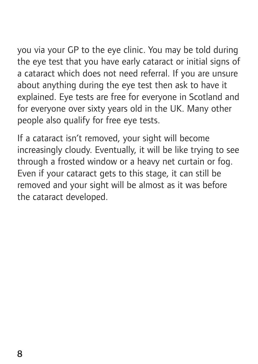you via your GP to the eye clinic. You may be told during the eye test that you have early cataract or initial signs of a cataract which does not need referral. If you are unsure about anything during the eye test then ask to have it explained. Eye tests are free for everyone in Scotland and for everyone over sixty years old in the UK. Many other people also qualify for free eye tests.

If a cataract isn't removed, your sight will become increasingly cloudy. Eventually, it will be like trying to see through a frosted window or a heavy net curtain or fog. Even if your cataract gets to this stage, it can still be removed and your sight will be almost as it was before the cataract developed.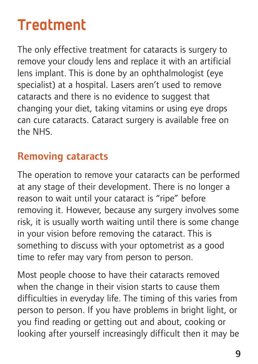### **Treatment**

The only effective treatment for cataracts is surgery to remove your cloudy lens and replace it with an artificial lens implant. This is done by an ophthalmologist (eye specialist) at a hospital. Lasers aren't used to remove cataracts and there is no evidence to suggest that changing your diet, taking vitamins or using eye drops can cure cataracts. Cataract surgery is available free on the NHS.

#### **Removing cataracts**

The operation to remove your cataracts can be performed at any stage of their development. There is no longer a reason to wait until your cataract is "ripe" before removing it. However, because any surgery involves some risk, it is usually worth waiting until there is some change in your vision before removing the cataract. This is something to discuss with your optometrist as a good time to refer may vary from person to person.

Most people choose to have their cataracts removed when the change in their vision starts to cause them difficulties in everyday life. The timing of this varies from person to person. If you have problems in bright light, or you find reading or getting out and about, cooking or looking after yourself increasingly difficult then it may be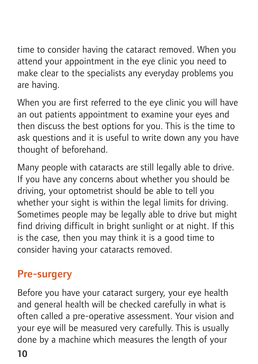time to consider having the cataract removed. When you attend your appointment in the eye clinic you need to make clear to the specialists any everyday problems you are having.

When you are first referred to the eye clinic you will have an out patients appointment to examine your eyes and then discuss the best options for you. This is the time to ask questions and it is useful to write down any you have thought of beforehand.

Many people with cataracts are still legally able to drive. If you have any concerns about whether you should be driving, your optometrist should be able to tell you whether your sight is within the legal limits for driving. Sometimes people may be legally able to drive but might find driving difficult in bright sunlight or at night. If this is the case, then you may think it is a good time to consider having your cataracts removed.

#### **Pre-surgery**

Before you have your cataract surgery, your eye health and general health will be checked carefully in what is often called a pre-operative assessment. Your vision and your eye will be measured very carefully. This is usually done by a machine which measures the length of your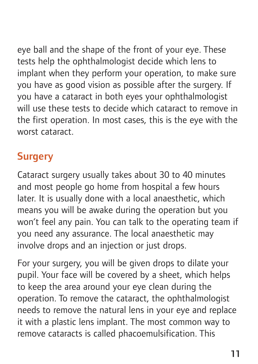eye ball and the shape of the front of your eye. These tests help the ophthalmologist decide which lens to implant when they perform your operation, to make sure you have as good vision as possible after the surgery. If you have a cataract in both eyes your ophthalmologist will use these tests to decide which cataract to remove in the first operation. In most cases, this is the eye with the worst cataract.

#### **Surgery**

Cataract surgery usually takes about 30 to 40 minutes and most people go home from hospital a few hours later. It is usually done with a local anaesthetic, which means you will be awake during the operation but you won't feel any pain. You can talk to the operating team if you need any assurance. The local anaesthetic may involve drops and an injection or just drops.

For your surgery, you will be given drops to dilate your pupil. Your face will be covered by a sheet, which helps to keep the area around your eye clean during the operation. To remove the cataract, the ophthalmologist needs to remove the natural lens in your eye and replace it with a plastic lens implant. The most common way to remove cataracts is called phacoemulsification. This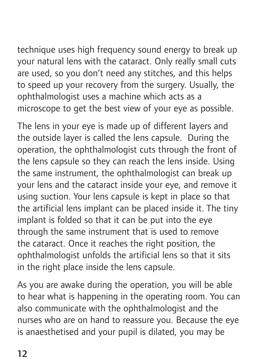technique uses high frequency sound energy to break up your natural lens with the cataract. Only really small cuts are used, so you don't need any stitches, and this helps to speed up your recovery from the surgery. Usually, the ophthalmologist uses a machine which acts as a microscope to get the best view of your eye as possible.

The lens in your eye is made up of different layers and the outside layer is called the lens capsule. During the operation, the ophthalmologist cuts through the front of the lens capsule so they can reach the lens inside. Using the same instrument, the ophthalmologist can break up your lens and the cataract inside your eye, and remove it using suction. Your lens capsule is kept in place so that the artificial lens implant can be placed inside it. The tiny implant is folded so that it can be put into the eye through the same instrument that is used to remove the cataract. Once it reaches the right position, the ophthalmologist unfolds the artificial lens so that it sits in the right place inside the lens capsule.

As you are awake during the operation, you will be able to hear what is happening in the operating room. You can also communicate with the ophthalmologist and the nurses who are on hand to reassure you. Because the eye is anaesthetised and your pupil is dilated, you may be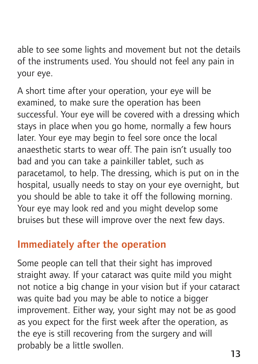able to see some lights and movement but not the details of the instruments used. You should not feel any pain in your eye.

A short time after your operation, your eye will be examined, to make sure the operation has been successful. Your eye will be covered with a dressing which stays in place when you go home, normally a few hours later. Your eye may begin to feel sore once the local anaesthetic starts to wear off. The pain isn't usually too bad and you can take a painkiller tablet, such as paracetamol, to help. The dressing, which is put on in the hospital, usually needs to stay on your eye overnight, but you should be able to take it off the following morning. Your eye may look red and you might develop some bruises but these will improve over the next few days.

#### **Immediately after the operation**

Some people can tell that their sight has improved straight away. If your cataract was quite mild you might not notice a big change in your vision but if your cataract was quite bad you may be able to notice a bigger improvement. Either way, your sight may not be as good as you expect for the first week after the operation, as the eye is still recovering from the surgery and will probably be a little swollen.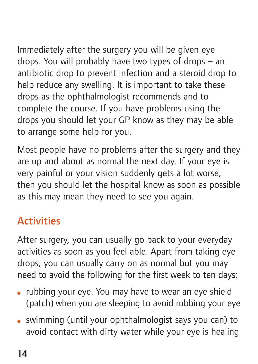Immediately after the surgery you will be given eye drops. You will probably have two types of drops – an antibiotic drop to prevent infection and a steroid drop to help reduce any swelling. It is important to take these drops as the ophthalmologist recommends and to complete the course. If you have problems using the drops you should let your GP know as they may be able to arrange some help for you.

Most people have no problems after the surgery and they are up and about as normal the next day. If your eye is very painful or your vision suddenly gets a lot worse, then you should let the hospital know as soon as possible as this may mean they need to see you again.

#### **Activities**

After surgery, you can usually go back to your everyday activities as soon as you feel able. Apart from taking eye drops, you can usually carry on as normal but you may need to avoid the following for the first week to ten days:

- rubbing your eye. You may have to wear an eye shield (patch) when you are sleeping to avoid rubbing your eye
- swimming (until your ophthalmologist says you can) to avoid contact with dirty water while your eye is healing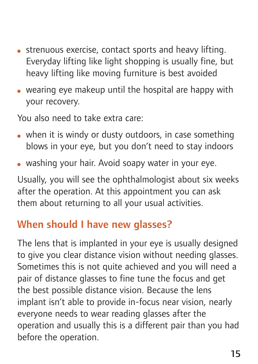- strenuous exercise, contact sports and heavy lifting. Everyday lifting like light shopping is usually fine, but heavy lifting like moving furniture is best avoided
- wearing eye makeup until the hospital are happy with your recovery.

You also need to take extra care:

- when it is windy or dusty outdoors, in case something blows in your eye, but you don't need to stay indoors
- washing your hair. Avoid soapy water in your eye.

Usually, you will see the ophthalmologist about six weeks after the operation. At this appointment you can ask them about returning to all your usual activities.

#### **When should I have new glasses?**

The lens that is implanted in your eye is usually designed to give you clear distance vision without needing glasses. Sometimes this is not quite achieved and you will need a pair of distance glasses to fine tune the focus and get the best possible distance vision. Because the lens implant isn't able to provide in-focus near vision, nearly everyone needs to wear reading glasses after the operation and usually this is a different pair than you had before the operation.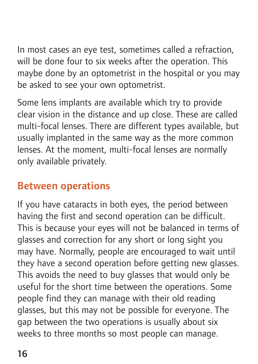In most cases an eye test, sometimes called a refraction, will be done four to six weeks after the operation. This maybe done by an optometrist in the hospital or you may be asked to see your own optometrist.

Some lens implants are available which try to provide clear vision in the distance and up close. These are called multi-focal lenses. There are different types available, but usually implanted in the same way as the more common lenses. At the moment, multi-focal lenses are normally only available privately.

#### **Between operations**

If you have cataracts in both eyes, the period between having the first and second operation can be difficult. This is because your eyes will not be balanced in terms of glasses and correction for any short or long sight you may have. Normally, people are encouraged to wait until they have a second operation before getting new glasses. This avoids the need to buy glasses that would only be useful for the short time between the operations. Some people find they can manage with their old reading glasses, but this may not be possible for everyone. The gap between the two operations is usually about six weeks to three months so most people can manage.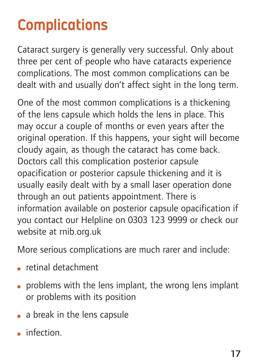### Complications

Cataract surgery is generally very successful. Only about three per cent of people who have cataracts experience complications. The most common complications can be dealt with and usually don't affect sight in the long term.

One of the most common complications is a thickening of the lens capsule which holds the lens in place. This may occur a couple of months or even years after the original operation. If this happens, your sight will become cloudy again, as though the cataract has come back. Doctors call this complication posterior capsule opacification or posterior capsule thickening and it is usually easily dealt with by a small laser operation done through an out patients appointment. There is information available on posterior capsule opacification if you contact our Helpline on 0303 123 9999 or check our website at rnib.org.uk

More serious complications are much rarer and include:

- retinal detachment
- problems with the lens implant, the wrong lens implant or problems with its position
- a break in the lens capsule
- infection.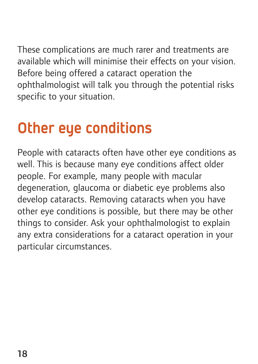These complications are much rarer and treatments are available which will minimise their effects on your vision. Before being offered a cataract operation the ophthalmologist will talk you through the potential risks specific to your situation.

### Other eye conditions

People with cataracts often have other eye conditions as well. This is because many eye conditions affect older people. For example, many people with macular degeneration, glaucoma or diabetic eye problems also develop cataracts. Removing cataracts when you have other eye conditions is possible, but there may be other things to consider. Ask your ophthalmologist to explain any extra considerations for a cataract operation in your particular circumstances.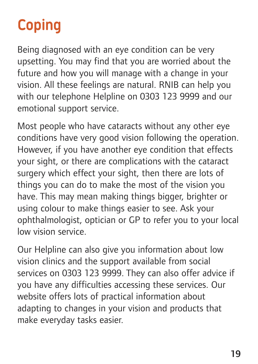### Coping

Being diagnosed with an eye condition can be very upsetting. You may find that you are worried about the future and how you will manage with a change in your vision. All these feelings are natural. RNIB can help you with our telephone Helpline on 0303 123 9999 and our emotional support service.

Most people who have cataracts without any other eye conditions have very good vision following the operation. However, if you have another eye condition that effects your sight, or there are complications with the cataract surgery which effect your sight, then there are lots of things you can do to make the most of the vision you have. This may mean making things bigger, brighter or using colour to make things easier to see. Ask your ophthalmologist, optician or GP to refer you to your local low vision service.

Our Helpline can also give you information about low vision clinics and the support available from social services on 0303 123 9999. They can also offer advice if you have any difficulties accessing these services. Our website offers lots of practical information about adapting to changes in your vision and products that make everyday tasks easier.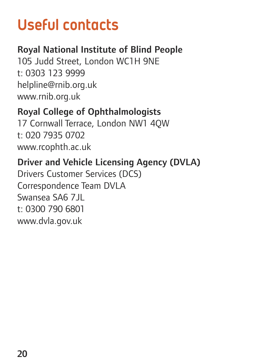### Useful contacts

#### **Royal National Institute of Blind People**

105 Judd Street, London WC1H 9NE t: 0303 123 9999 helpline@rnib.org.uk www.rnib.org.uk

#### **Royal College of Ophthalmologists**

17 Cornwall Terrace, London NW1 4QW t: 020 7935 0702 www.rcophth.ac.uk

#### **Driver and Vehicle Licensing Agency (DVLA)**

Drivers Customer Services (DCS) Correspondence Team DVLA Swansea SA6 7 IL t: 0300 790 6801 www.dvla.gov.uk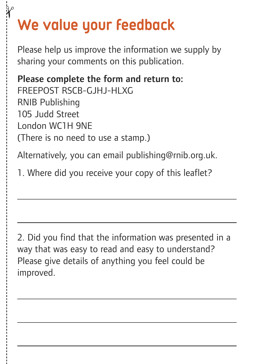### We value your feedback

 $\mathbf{\hat{z}}$ 

Please help us improve the information we supply by sharing your comments on this publication.

**Please complete the form and return to:** FREEPOST RSCB-GJHJ-HLXG RNIB Publishing 105 Judd Street London WC1H 9NE (There is no need to use a stamp.)

Alternatively, you can email publishing@rnib.org.uk.

1. Where did you receive your copy of this leaflet?

2. Did you find that the information was presented in a way that was easy to read and easy to understand? Please give details of anything you feel could be improved.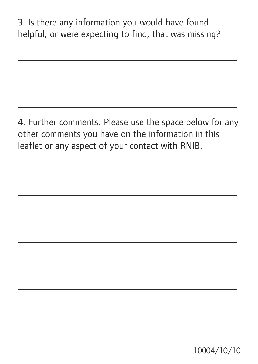3. Is there any information you would have found helpful, or were expecting to find, that was missing?

4. Further comments. Please use the space below for any other comments you have on the information in this leaflet or any aspect of your contact with RNIB.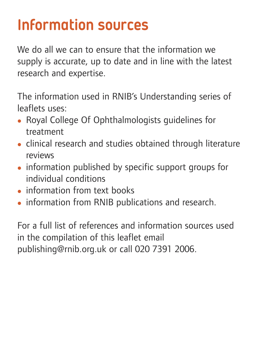### Information sources

We do all we can to ensure that the information we supply is accurate, up to date and in line with the latest research and expertise.

The information used in RNIB's Understanding series of leaflets uses:

- Royal College Of Ophthalmologists guidelines for treatment
- clinical research and studies obtained through literature reviews
- information published by specific support groups for individual conditions
- $\bullet$  information from text books
- information from RNIB publications and research.

For a full list of references and information sources used in the compilation of this leaflet email publishing@rnib.org.uk or call 020 7391 2006.